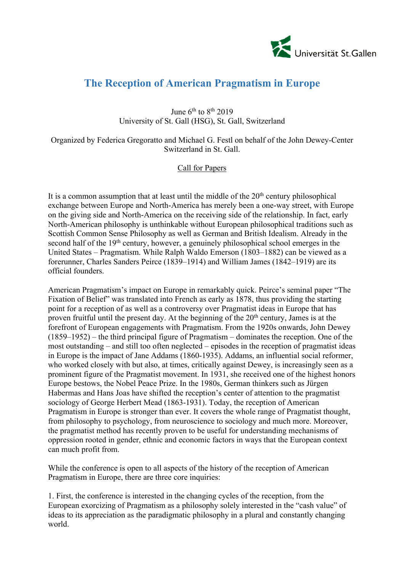

## **The Reception of American Pragmatism in Europe**

June  $6<sup>th</sup>$  to  $8<sup>th</sup>$  2019 University of St. Gall (HSG), St. Gall, Switzerland

Organized by Federica Gregoratto and Michael G. Festl on behalf of the John Dewey-Center Switzerland in St. Gall.

## Call for Papers

It is a common assumption that at least until the middle of the  $20<sup>th</sup>$  century philosophical exchange between Europe and North-America has merely been a one-way street, with Europe on the giving side and North-America on the receiving side of the relationship. In fact, early North-American philosophy is unthinkable without European philosophical traditions such as Scottish Common Sense Philosophy as well as German and British Idealism. Already in the second half of the 19<sup>th</sup> century, however, a genuinely philosophical school emerges in the United States – Pragmatism. While Ralph Waldo Emerson (1803–1882) can be viewed as a forerunner, Charles Sanders Peirce (1839–1914) and William James (1842–1919) are its official founders.

American Pragmatism's impact on Europe in remarkably quick. Peirce's seminal paper "The Fixation of Belief" was translated into French as early as 1878, thus providing the starting point for a reception of as well as a controversy over Pragmatist ideas in Europe that has proven fruitful until the present day. At the beginning of the  $20<sup>th</sup>$  century, James is at the forefront of European engagements with Pragmatism. From the 1920s onwards, John Dewey (1859–1952) – the third principal figure of Pragmatism – dominates the reception. One of the most outstanding – and still too often neglected – episodes in the reception of pragmatist ideas in Europe is the impact of Jane Addams (1860-1935). Addams, an influential social reformer, who worked closely with but also, at times, critically against Dewey, is increasingly seen as a prominent figure of the Pragmatist movement. In 1931, she received one of the highest honors Europe bestows, the Nobel Peace Prize. In the 1980s, German thinkers such as Jürgen Habermas and Hans Joas have shifted the reception's center of attention to the pragmatist sociology of George Herbert Mead (1863-1931). Today, the reception of American Pragmatism in Europe is stronger than ever. It covers the whole range of Pragmatist thought, from philosophy to psychology, from neuroscience to sociology and much more. Moreover, the pragmatist method has recently proven to be useful for understanding mechanisms of oppression rooted in gender, ethnic and economic factors in ways that the European context can much profit from.

While the conference is open to all aspects of the history of the reception of American Pragmatism in Europe, there are three core inquiries:

1. First, the conference is interested in the changing cycles of the reception, from the European exorcizing of Pragmatism as a philosophy solely interested in the "cash value" of ideas to its appreciation as the paradigmatic philosophy in a plural and constantly changing world.